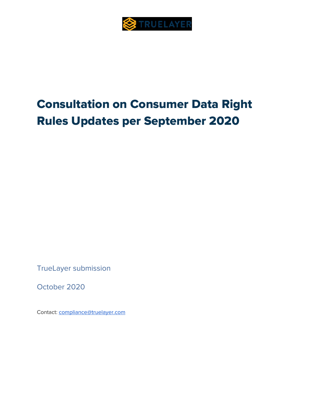

# Consultation on Consumer Data Right Rules Updates per September 2020

TrueLayer submission

October 2020

Contact: compliance@truelayer.com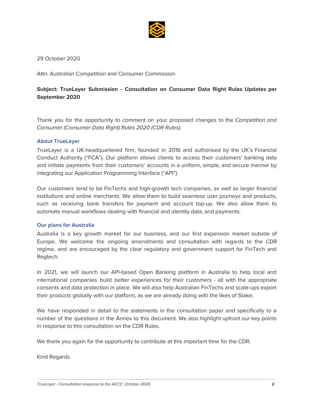

29 October 2020

Attn: Australian Competition and Consumer Commission

### **Subject: TrueLayer Submission - Consultation on Consumer Data Right Rules Updates per September 2020**

Thank you for the opportunity to comment on your proposed changes to the Competition and Consumer (Consumer Data Right) Rules 2020 (CDR Rules).

#### **About TrueLayer**

TrueLayer is a UK-headquartered firm, founded in 2016 and authorised by the UK's Financial Conduct Authority ("FCA"). Our platform allows clients to access their customers' banking data and initiate payments from their customers' accounts in a uniform, simple, and secure manner by integrating our Application Programming Interface ("API").

Our customers tend to be FinTechs and high-growth tech companies, as well as larger financial institutions and online merchants. We allow them to build seamless user journeys and products, such as receiving bank transfers for payment and account top-up. We also allow them to automate manual workflows dealing with financial and identity data, and payments.

#### **Our plans for Australia**

Australia is a key growth market for our business, and our first expansion market outside of Europe. We welcome the ongoing amendments and consultation with regards to the CDR regime, and are encouraged by the clear regulatory and government support for FinTech and Regtech.

In 2021, we will launch our API-based Open Banking platform in Australia to help local and international companies build better experiences for their customers - all with the appropriate consents and data protection in place. We will also help Australian FinTechs and scale-ups export their products globally with our platform, as we are already doing with the likes of Stake.

We have responded in detail to the statements in the consultation paper and specifically to a number of the questions in the Annex to this document. We also highlight upfront our key points in response to this consultation on the CDR Rules.

We thank you again for the opportunity to contribute at this important time for the CDR.

Kind Regards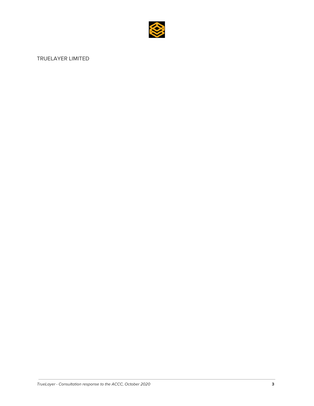

#### TRUELAYER LIMITED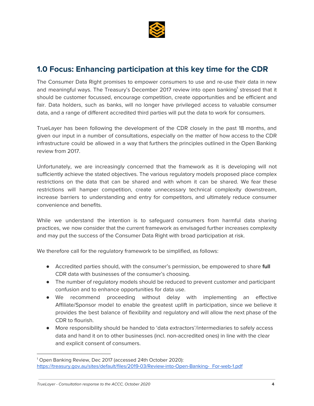

# **1.0 Focus: Enhancing participation at this key time for the CDR**

The Consumer Data Right promises to empower consumers to use and re-use their data in new and meaningful ways. The Treasury's December 2017 review into open banking<sup>1</sup> stressed that it should be customer focussed, encourage competition, create opportunities and be efficient and fair. Data holders, such as banks, will no longer have privileged access to valuable consumer data, and a range of different accredited third parties will put the data to work for consumers.

TrueLayer has been following the development of the CDR closely in the past 18 months, and given our input in a number of consultations, especially on the matter of how access to the CDR infrastructure could be allowed in a way that furthers the principles outlined in the Open Banking review from 2017.

Unfortunately, we are increasingly concerned that the framework as it is developing will not sufficiently achieve the stated objectives. The various regulatory models proposed place complex restrictions on the data that can be shared and with whom it can be shared. We fear these restrictions will hamper competition, create unnecessary technical complexity downstream, increase barriers to understanding and entry for competitors, and ultimately reduce consumer convenience and benefits.

While we understand the intention is to safeguard consumers from harmful data sharing practices, we now consider that the current framework as envisaged further increases complexity and may put the success of the Consumer Data Right with broad participation at risk.

We therefore call for the regulatory framework to be simplified, as follows:

- Accredited parties should, with the consumer's permission, be empowered to share **full** CDR data with businesses of the consumer's choosing.
- The number of regulatory models should be reduced to prevent customer and participant confusion and to enhance opportunities for data use.
- We recommend proceeding without delay with implementing an effective Affiliate/Sponsor model to enable the greatest uplift in participation, since we believe it provides the best balance of flexibility and regulatory and will allow the next phase of the CDR to flourish.
- More responsibility should be handed to 'data extractors'/intermediaries to safely access data and hand it on to other businesses (incl. non-accredited ones) in line with the clear and explicit consent of consumers.

<sup>1</sup> Open Banking Review, Dec 2017 (accessed 24th October 2020): https://treasury.gov.au/sites/default/files/2019-03/Review-into-Open-Banking- For-web-1.pdf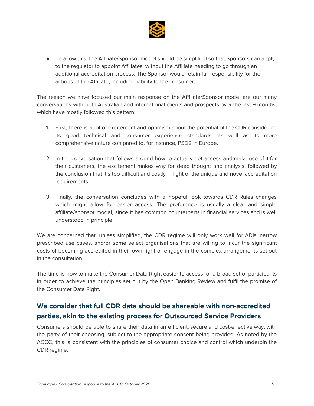

● To allow this, the Affiliate/Sponsor model should be simplified so that Sponsors can apply to the regulator to appoint Affiliates, without the Affiliate needing to go through an additional accreditation process. The Sponsor would retain full responsibility for the actions of the Affiliate, including liability to the consumer.

The reason we have focused our main response on the Affiliate/Sponsor model are our many conversations with both Australian and international clients and prospects over the last 9 months, which have mostly followed this pattern:

- 1. First, there is a lot of excitement and optimism about the potential of the CDR considering its good technical and consumer experience standards, as well as its more comprehensive nature compared to, for instance, PSD2 in Europe.
- 2. In the conversation that follows around how to actually get access and make use of it for their customers, the excitement makes way for deep thought and analysis, followed by the conclusion that it's too difficult and costly in light of the unique and novel accreditation requirements.
- 3. Finally, the conversation concludes with a hopeful look towards CDR Rules changes which might allow for easier access. The preference is usually a clear and simple affiliate/sponsor model, since it has common counterparts in financial services and is well understood in principle.

We are concerned that, unless simplified, the CDR regime will only work well for ADIs, narrow prescribed use cases, and/or some select organisations that are willing to incur the significant costs of becoming accredited in their own right or engage in the complex arrangements set out in the consultation.

The time is now to make the Consumer Data Right easier to access for a broad set of participants in order to achieve the principles set out by the Open Banking Review and fulfil the promise of the Consumer Data Right.

# **We consider that full CDR data should be shareable with non-accredited parties, akin to the existing process for Outsourced Service Providers**

Consumers should be able to share their data in an efficient, secure and cost-effective way, with the party of their choosing, subject to the appropriate consent being provided. As noted by the ACCC, this is consistent with the principles of consumer choice and control which underpin the CDR regime.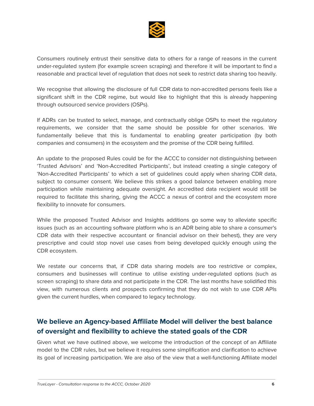

Consumers routinely entrust their sensitive data to others for a range of reasons in the current under-regulated system (for example screen scraping) and therefore it will be important to find a reasonable and practical level of regulation that does not seek to restrict data sharing too heavily.

We recognise that allowing the disclosure of full CDR data to non-accredited persons feels like a significant shift in the CDR regime, but would like to highlight that this is already happening through outsourced service providers (OSPs).

If ADRs can be trusted to select, manage, and contractually oblige OSPs to meet the regulatory requirements, we consider that the same should be possible for other scenarios. We fundamentally believe that this is fundamental to enabling greater participation (by both companies and consumers) in the ecosystem and the promise of the CDR being fulfilled.

An update to the proposed Rules could be for the ACCC to consider not distinguishing between 'Trusted Advisors' and 'Non-Accredited Participants', but instead creating a single category of 'Non-Accredited Participants' to which a set of guidelines could apply when sharing CDR data, subject to consumer consent. We believe this strikes a good balance between enabling more participation while maintaining adequate oversight. An accredited data recipient would still be required to facilitate this sharing, giving the ACCC a nexus of control and the ecosystem more flexibility to innovate for consumers.

While the proposed Trusted Advisor and Insights additions go some way to alleviate specific issues (such as an accounting software platform who is an ADR being able to share a consumer's CDR data with their respective accountant or financial advisor on their behest), they are very prescriptive and could stop novel use cases from being developed quickly enough using the CDR ecosystem.

We restate our concerns that, if CDR data sharing models are too restrictive or complex, consumers and businesses will continue to utilise existing under-regulated options (such as screen scraping) to share data and not participate in the CDR. The last months have solidified this view, with numerous clients and prospects confirming that they do not wish to use CDR APIs given the current hurdles, when compared to legacy technology.

# **We believe an Agency-based Affiliate Model will deliver the best balance of oversight and flexibility to achieve the stated goals of the CDR**

Given what we have outlined above, we welcome the introduction of the concept of an Affiliate model to the CDR rules, but we believe it requires some simplification and clarification to achieve its goal of increasing participation. We are also of the view that a well-functioning Affiliate model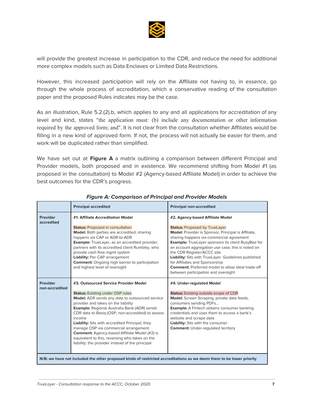

will provide the greatest increase in participation to the CDR, and reduce the need for additional more complex models such as Data Enclaves or Limited Data Restrictions.

However, this increased participation will rely on the Affiliate not having to, in essence, go through the whole process of accreditation, which a conservative reading of the consultation paper and the proposed Rules indicates may be the case.

As an illustration, Rule 5.2.(2).b, which applies to any and all applications for accreditation of any level and kind, states "the application must: (b) include any documentation or other information required by the approved form; and". It is not clear from the consultation whether Affiliates would be filling in a new kind of approved form. If not, the process will not actually be easier for them, and work will be duplicated rather than simplified.

We have set out at **Figure A** a matrix outlining a comparison between different Principal and Provider models, both proposed and in existence. We recommend shifting from Model #1 (as proposed in the consultation) to Model #2 (Agency-based Affiliate Model) in order to achieve the best outcomes for the CDR's progress.

|                                                                                                                      | <b>Principal accredited</b>                                                                                                                                                                                                                                                                                                                                                                                                                                                                                                                                       | <b>Principal non-accredited</b>                                                                                                                                                                                                                                                                                                                                                             |
|----------------------------------------------------------------------------------------------------------------------|-------------------------------------------------------------------------------------------------------------------------------------------------------------------------------------------------------------------------------------------------------------------------------------------------------------------------------------------------------------------------------------------------------------------------------------------------------------------------------------------------------------------------------------------------------------------|---------------------------------------------------------------------------------------------------------------------------------------------------------------------------------------------------------------------------------------------------------------------------------------------------------------------------------------------------------------------------------------------|
| <b>Provider</b><br>accredited                                                                                        | #1. Affiliate Accreditation Model<br><b>Status: Proposed in consultation</b><br>Model: Both parties are accredited, sharing                                                                                                                                                                                                                                                                                                                                                                                                                                       | #2. Agency-based Affiliate Model<br><b>Status: Proposed by TrueLayer</b><br>Model: Provider is Sponsor, Principal is Affiliate,                                                                                                                                                                                                                                                             |
|                                                                                                                      | happens via CAP or ADR-to-ADR<br><b>Example:</b> TrueLayer, as an accredited provider,<br>partners with its accredited client Rumbley, who<br>provide cash flow mgmt system<br><b>Liability: Per CAP arrangement</b><br><b>Comment:</b> Ongoing high barrier to participation<br>and highest level of oversight                                                                                                                                                                                                                                                   | sharing happens via commercial agreement<br><b>Example:</b> TrueLayer sponsors its client BusyBee for<br>an account aggregation use case, this is noted on<br>the CDR Register/ACCC site<br><b>Liability:</b> Sits with TrueLayer Guidelines published<br>for Affiliates and Sponsorship<br><b>Comment:</b> Preferred model to allow ideal trade-off<br>between participation and oversight |
| <b>Provider</b><br>non-accredited                                                                                    | #3. Outsourced Service Provider Model<br><b>Status: Existing under OSP rules</b><br><b>Model:</b> ADR sends any data to outsourced service<br>provider and takes on the liability<br><b>Example:</b> Regional Australia Bank (ADR) sends<br>CDR data to Basiq (OSP, non-accredited) to assess<br>income<br>Liability: Sits with accredited Principal, they<br>manage OSP via commercial arrangement<br><b>Comment:</b> Agency-based Affiliate Model (#2) is<br>equivalent to this, reversing who takes on the<br>liability: the provider instead of the principal | #4. Under-regulated Model<br><b>Status:</b> Existing outside scope of CDR<br>Model: Screen Scraping, private data feeds,<br>consumers sending PDFs<br><b>Example:</b> A Fintech obtains consumer banking<br>credentials and uses them to access a bank's<br>website and scrape data<br>Liability: Sits with the consumer<br><b>Comment: Under-regulated territory</b>                       |
| N/B: we have not included the other proposed kinds of restricted accreditations as we deem them to be lower priority |                                                                                                                                                                                                                                                                                                                                                                                                                                                                                                                                                                   |                                                                                                                                                                                                                                                                                                                                                                                             |

#### **Figure A: Comparison of Principal and Provider Models**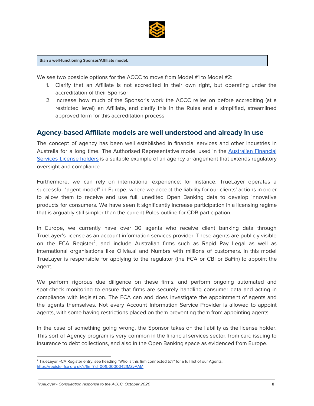

#### **than a well-functioning Sponsor/Affiliate model.**

We see two possible options for the ACCC to move from Model #1 to Model #2:

- 1. Clarify that an Affiliate is not accredited in their own right, but operating under the accreditation of their Sponsor
- 2. Increase how much of the Sponsor's work the ACCC relies on before accrediting (at a restricted level) an Affiliate, and clarify this in the Rules and a simplified, streamlined approved form for this accreditation process

## **Agency-based Affiliate models are well understood and already in use**

The concept of agency has been well established in financial services and other industries in Australia for a long time. The Authorised Representative model used in the Australian Financial Services License holders is a suitable example of an agency arrangement that extends regulatory oversight and compliance.

Furthermore, we can rely on international experience: for instance, TrueLayer operates a successful "agent model" in Europe, where we accept the liability for our clients' actions in order to allow them to receive and use full, unedited Open Banking data to develop innovative products for consumers. We have seen it significantly increase participation in a licensing regime that is arguably still simpler than the current Rules outline for CDR participation.

In Europe, we currently have over 30 agents who receive client banking data through TrueLayer's license as an account information services provider. These agents are publicly visible on the FCA Register<sup>2</sup>, and include Australian firms such as Rapid Pay Legal as well as international organisations like Olivia.ai and Numbrs with millions of customers. In this model TrueLayer is responsible for applying to the regulator (the FCA or CBI or BaFin) to appoint the agent.

We perform rigorous due diligence on these firms, and perform ongoing automated and spot-check monitoring to ensure that firms are securely handling consumer data and acting in compliance with legislation. The FCA can and does investigate the appointment of agents and the agents themselves. Not every Account Information Service Provider is allowed to appoint agents, with some having restrictions placed on them preventing them from appointing agents.

In the case of something going wrong, the Sponsor takes on the liability as the license holder. This sort of Agency program is very common in the financial services sector, from card issuing to insurance to debt collections, and also in the Open Banking space as evidenced from Europe.

 $^2$  TrueLayer FCA Register entry, see heading "Who is this firm connected to?" for a full list of our Agents: https://register fca org uk/s/firm?id=001b0000042fMZyAAM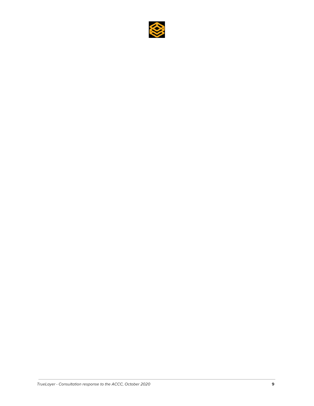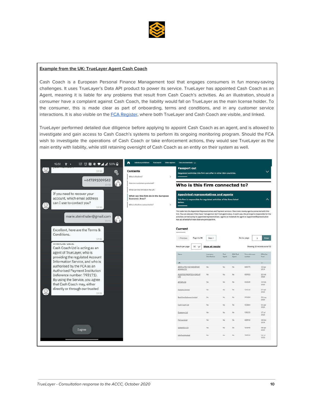

#### **Example from the UK: TrueLayer Agent Cash Coach**

Cash Coach is a European Personal Finance Management tool that engages consumers in fun money-saving challenges. It uses TrueLayer's Data API product to power its service. TrueLayer has appointed Cash Coach as an Agent, meaning it is liable for any problems that result from Cash Coach's activities. As an illustration, should a consumer have a complaint against Cash Coach, the liability would fall on TrueLayer as the main license holder. To the consumer, this is made clear as part of onboarding, terms and conditions, and in any customer service interactions. It is also visible on the ECA Register, where both TrueLayer and Cash Coach are visible, and linked.

TrueLayer performed detailed due diligence before applying to appoint Cash Coach as an agent, and is allowed to investigate and gain access to Cash Coach's systems to perform its ongoing monitoring program. Should the FCA wish to investigate the operations of Cash Coach or take enforcement actions, they would see TrueLayer as the main entity with liability, while still retaining oversight of Cash Coach as an entity on their system as well.

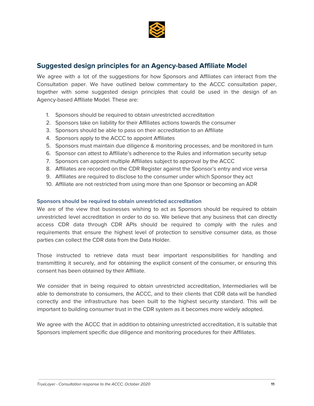

# **Suggested design principles for an Agency-based Affiliate Model**

We agree with a lot of the suggestions for how Sponsors and Affiliates can interact from the Consultation paper. We have outlined below commentary to the ACCC consultation paper, together with some suggested design principles that could be used in the design of an Agency-based Affiliate Model. These are:

- 1. Sponsors should be required to obtain unrestricted accreditation
- 2. Sponsors take on liability for their Affiliates actions towards the consumer
- 3. Sponsors should be able to pass on their accreditation to an Affiliate
- 4. Sponsors apply to the ACCC to appoint Affiliates
- 5. Sponsors must maintain due diligence & monitoring processes, and be monitored in turn
- 6. Sponsor can attest to Affiliate's adherence to the Rules and information security setup
- 7. Sponsors can appoint multiple Affiliates subject to approval by the ACCC
- 8. Affiliates are recorded on the CDR Register against the Sponsor's entry and vice versa
- 9. Affiliates are required to disclose to the consumer under which Sponsor they act
- 10. Affiliate are not restricted from using more than one Sponsor or becoming an ADR

#### **Sponsors should be required to obtain unrestricted accreditation**

We are of the view that businesses wishing to act as Sponsors should be required to obtain unrestricted level accreditation in order to do so. We believe that any business that can directly access CDR data through CDR APIs should be required to comply with the rules and requirements that ensure the highest level of protection to sensitive consumer data, as those parties can collect the CDR data from the Data Holder.

Those instructed to retrieve data must bear important responsibilities for handling and transmitting it securely, and for obtaining the explicit consent of the consumer, or ensuring this consent has been obtained by their Affiliate.

We consider that in being required to obtain unrestricted accreditation, Intermediaries will be able to demonstrate to consumers, the ACCC, and to their clients that CDR data will be handled correctly and the infrastructure has been built to the highest security standard. This will be important to building consumer trust in the CDR system as it becomes more widely adopted.

We agree with the ACCC that in addition to obtaining unrestricted accreditation, it is suitable that Sponsors implement specific due diligence and monitoring procedures for their Affiliates.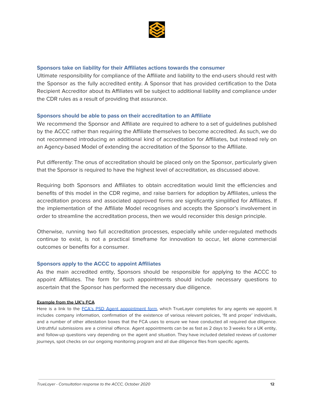

#### **Sponsors take on liability for their Affiliates actions towards the consumer**

Ultimate responsibility for compliance of the Affiliate and liability to the end-users should rest with the Sponsor as the fully accredited entity. A Sponsor that has provided certification to the Data Recipient Accreditor about its Affiliates will be subject to additional liability and compliance under the CDR rules as a result of providing that assurance.

#### **Sponsors should be able to pass on their accreditation to an Affiliate**

We recommend the Sponsor and Affiliate are required to adhere to a set of guidelines published by the ACCC rather than requiring the Affiliate themselves to become accredited. As such, we do not recommend introducing an additional kind of accreditation for Affiliates, but instead rely on an Agency-based Model of extending the accreditation of the Sponsor to the Affiliate.

Put differently: The onus of accreditation should be placed only on the Sponsor, particularly given that the Sponsor is required to have the highest level of accreditation, as discussed above.

Requiring both Sponsors and Affiliates to obtain accreditation would limit the efficiencies and benefits of this model in the CDR regime, and raise barriers for adoption by Affiliates, unless the accreditation process and associated approved forms are significantly simplified for Affiliates. If the implementation of the Affiliate Model recognises and accepts the Sponsor's involvement in order to streamline the accreditation process, then we would reconsider this design principle.

Otherwise, running two full accreditation processes, especially while under-regulated methods continue to exist, is not a practical timeframe for innovation to occur, let alone commercial outcomes or benefits for a consumer.

#### **Sponsors apply to the ACCC to appoint Affiliates**

As the main accredited entity, Sponsors should be responsible for applying to the ACCC to appoint Affiliates. The form for such appointments should include necessary questions to ascertain that the Sponsor has performed the necessary due diligence.

#### **Example from the UK's FCA**

Here is a link to the FCA's PSD Agent appointment form, which TrueLayer completes for any agents we appoint. It includes company information, confirmation of the existence of various relevant policies, 'fit and proper' individuals, and a number of other attestation boxes that the FCA uses to ensure we have conducted all required due diligence. Untruthful submissions are a criminal offence. Agent appointments can be as fast as 2 days to 3 weeks for a UK entity, and follow-up questions vary depending on the agent and situation. They have included detailed reviews of customer journeys, spot checks on our ongoing monitoring program and all due diligence files from specific agents.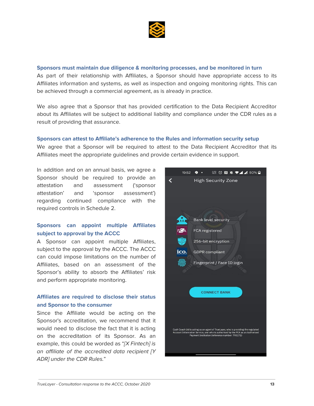

#### **Sponsors must maintain due diligence & monitoring processes, and be monitored in turn**

As part of their relationship with Affiliates, a Sponsor should have appropriate access to its Affiliates information and systems, as well as inspection and ongoing monitoring rights. This can be achieved through a commercial agreement, as is already in practice.

We also agree that a Sponsor that has provided certification to the Data Recipient Accreditor about its Affiliates will be subject to additional liability and compliance under the CDR rules as a result of providing that assurance.

#### **Sponsors can attest to Affiliate's adherence to the Rules and information security setup**

We agree that a Sponsor will be required to attest to the Data Recipient Accreditor that its Affiliates meet the appropriate guidelines and provide certain evidence in support.

In addition and on an annual basis, we agree a Sponsor should be required to provide an attestation and assessment ('sponsor attestation' and 'sponsor assessment') regarding continued compliance with the required controls in Schedule 2.

### **Sponsors can appoint multiple Affiliates subject to approval by the ACCC**

A Sponsor can appoint multiple Affiliates, subject to the approval by the ACCC. The ACCC can could impose limitations on the number of Affiliates, based on an assessment of the Sponsor's ability to absorb the Affiliates' risk and perform appropriate monitoring.

### **Affiliates are required to disclose their status and Sponsor to the consumer**

Since the Affiliate would be acting on the Sponsor's accreditation, we recommend that it would need to disclose the fact that it is acting on the accreditation of its Sponsor. As an example, this could be worded as "[X Fintech] is an affiliate of the accredited data recipient [Y ADR] under the CDR Rules."

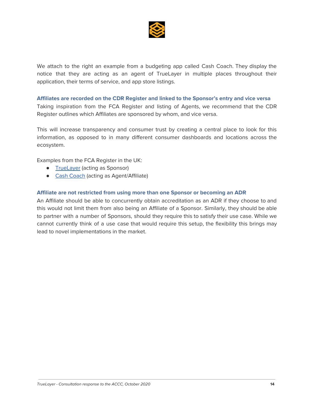

We attach to the right an example from a budgeting app called Cash Coach. They display the notice that they are acting as an agent of TrueLayer in multiple places throughout their application, their terms of service, and app store listings.

#### **Affiliates are recorded on the CDR Register and linked to the Sponsor's entry and vice versa**

Taking inspiration from the FCA Register and listing of Agents, we recommend that the CDR Register outlines which Affiliates are sponsored by whom, and vice versa.

This will increase transparency and consumer trust by creating a central place to look for this information, as opposed to in many different consumer dashboards and locations across the ecosystem.

Examples from the FCA Register in the UK:

- TrueLayer (acting as Sponsor)
- Cash Coach (acting as Agent/Affiliate)

#### **Affiliate are not restricted from using more than one Sponsor or becoming an ADR**

An Affiliate should be able to concurrently obtain accreditation as an ADR if they choose to and this would not limit them from also being an Affiliate of a Sponsor. Similarly, they should be able to partner with a number of Sponsors, should they require this to satisfy their use case. While we cannot currently think of a use case that would require this setup, the flexibility this brings may lead to novel implementations in the market.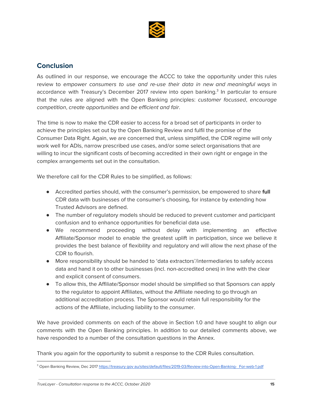

# **Conclusion**

As outlined in our response, we encourage the ACCC to take the opportunity under this rules review to empower consumers to use and re-use their data in new and meaningful ways in accordance with Treasury's December 2017 review into open banking.<sup>3</sup> In particular to ensure that the rules are aligned with the Open Banking principles: customer focussed, encourage competition, create opportunities and be efficient and fair.

The time is now to make the CDR easier to access for a broad set of participants in order to achieve the principles set out by the Open Banking Review and fulfil the promise of the Consumer Data Right. Again, we are concerned that, unless simplified, the CDR regime will only work well for ADIs, narrow prescribed use cases, and/or some select organisations that are willing to incur the significant costs of becoming accredited in their own right or engage in the complex arrangements set out in the consultation.

We therefore call for the CDR Rules to be simplified, as follows:

- Accredited parties should, with the consumer's permission, be empowered to share **full** CDR data with businesses of the consumer's choosing, for instance by extending how Trusted Advisors are defined.
- The number of regulatory models should be reduced to prevent customer and participant confusion and to enhance opportunities for beneficial data use.
- We recommend proceeding without delay with implementing an effective Affiliate/Sponsor model to enable the greatest uplift in participation, since we believe it provides the best balance of flexibility and regulatory and will allow the next phase of the CDR to flourish.
- More responsibility should be handed to 'data extractors'/intermediaries to safely access data and hand it on to other businesses (incl. non-accredited ones) in line with the clear and explicit consent of consumers.
- To allow this, the Affiliate/Sponsor model should be simplified so that Sponsors can apply to the regulator to appoint Affiliates, without the Affiliate needing to go through an additional accreditation process. The Sponsor would retain full responsibility for the actions of the Affiliate, including liability to the consumer.

We have provided comments on each of the above in Section 1.0 and have sought to align our comments with the Open Banking principles. In addition to our detailed comments above, we have responded to a number of the consultation questions in the Annex.

Thank you again for the opportunity to submit a response to the CDR Rules consultation.

<sup>&</sup>lt;sup>3</sup> Open Banking Review, Dec 2017 <u>https://treasury gov au/sites/default/files/2019-03/Review-into-Open-Banking- For-web-1 pdf</u>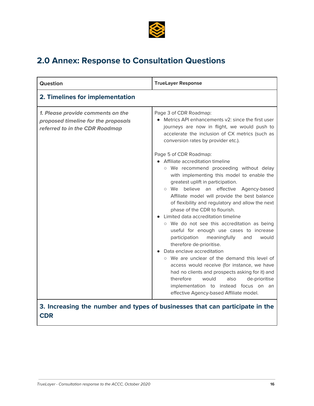

# **2.0 Annex: Response to Consultation Questions**

| <b>Question</b>                                                                                            | <b>TrueLayer Response</b>                                                                                                                                                                                                                                                                                                                                                                                                                                                                                                                                                                                                                                                                                                                                                                                                                                                                                                                                                                                                                                                                                                            |  |
|------------------------------------------------------------------------------------------------------------|--------------------------------------------------------------------------------------------------------------------------------------------------------------------------------------------------------------------------------------------------------------------------------------------------------------------------------------------------------------------------------------------------------------------------------------------------------------------------------------------------------------------------------------------------------------------------------------------------------------------------------------------------------------------------------------------------------------------------------------------------------------------------------------------------------------------------------------------------------------------------------------------------------------------------------------------------------------------------------------------------------------------------------------------------------------------------------------------------------------------------------------|--|
| 2. Timelines for implementation                                                                            |                                                                                                                                                                                                                                                                                                                                                                                                                                                                                                                                                                                                                                                                                                                                                                                                                                                                                                                                                                                                                                                                                                                                      |  |
| 1. Please provide comments on the<br>proposed timeline for the proposals<br>referred to in the CDR Roadmap | Page 3 of CDR Roadmap:<br>• Metrics API enhancements v2: since the first user<br>journeys are now in flight, we would push to<br>accelerate the inclusion of CX metrics (such as<br>conversion rates by provider etc.).<br>Page 5 of CDR Roadmap:<br>Affiliate accreditation timeline<br>o We recommend proceeding without delay<br>with implementing this model to enable the<br>greatest uplift in participation.<br>o We believe an effective Agency-based<br>Affiliate model will provide the best balance<br>of flexibility and regulatory and allow the next<br>phase of the CDR to flourish.<br>Limited data accreditation timeline<br>o We do not see this accreditation as being<br>useful for enough use cases to increase<br>meaningfully<br>participation<br>and<br>would<br>therefore de-prioritise.<br>Data enclave accreditation<br>o We are unclear of the demand this level of<br>access would receive (for instance, we have<br>had no clients and prospects asking for it) and<br>therefore<br>would<br>also<br>de-prioritise<br>implementation to instead focus on an<br>effective Agency-based Affiliate model. |  |
| <b>CDR</b>                                                                                                 | 3. Increasing the number and types of businesses that can participate in the                                                                                                                                                                                                                                                                                                                                                                                                                                                                                                                                                                                                                                                                                                                                                                                                                                                                                                                                                                                                                                                         |  |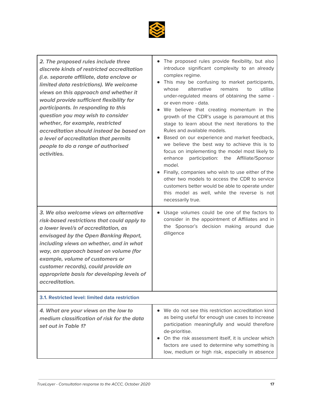

| 2. The proposed rules include three<br>discrete kinds of restricted accreditation<br>(i.e. separate affiliate, data enclave or<br>limited data restrictions). We welcome<br>views on this approach and whether it<br>would provide sufficient flexibility for<br>participants. In responding to this<br>question you may wish to consider<br>whether, for example, restricted<br>accreditation should instead be based on<br>a level of accreditation that permits<br>people to do a range of authorised<br>activities. | • The proposed rules provide flexibility, but also<br>introduce significant complexity to an already<br>complex regime.<br>• This may be confusing to market participants,<br>alternative<br>whose<br>remains<br>utilise<br>to<br>under-regulated means of obtaining the same -<br>or even more - data.<br>We believe that creating momentum in the<br>growth of the CDR's usage is paramount at this<br>stage to learn about the next iterations to the<br>Rules and available models.<br>• Based on our experience and market feedback,<br>we believe the best way to achieve this is to<br>focus on implementing the model most likely to<br>participation: the Affiliate/Sponsor<br>enhance<br>model.<br>Finally, companies who wish to use either of the<br>other two models to access the CDR to service<br>customers better would be able to operate under<br>this model as well, while the reverse is not<br>necessarily true. |
|-------------------------------------------------------------------------------------------------------------------------------------------------------------------------------------------------------------------------------------------------------------------------------------------------------------------------------------------------------------------------------------------------------------------------------------------------------------------------------------------------------------------------|----------------------------------------------------------------------------------------------------------------------------------------------------------------------------------------------------------------------------------------------------------------------------------------------------------------------------------------------------------------------------------------------------------------------------------------------------------------------------------------------------------------------------------------------------------------------------------------------------------------------------------------------------------------------------------------------------------------------------------------------------------------------------------------------------------------------------------------------------------------------------------------------------------------------------------------|
| 3. We also welcome views on alternative<br>risk-based restrictions that could apply to<br>a lower level/s of accreditation, as<br>envisaged by the Open Banking Report,<br>including views on whether, and in what<br>way, an approach based on volume (for<br>example, volume of customers or<br>customer records), could provide an<br>appropriate basis for developing levels of<br>accreditation.                                                                                                                   | Usage volumes could be one of the factors to<br>$\bullet$<br>consider in the appointment of Affiliates and in<br>the Sponsor's decision making around due<br>diligence                                                                                                                                                                                                                                                                                                                                                                                                                                                                                                                                                                                                                                                                                                                                                                 |
| 3.1. Restricted level: limited data restriction                                                                                                                                                                                                                                                                                                                                                                                                                                                                         |                                                                                                                                                                                                                                                                                                                                                                                                                                                                                                                                                                                                                                                                                                                                                                                                                                                                                                                                        |
| 4. What are your views on the low to<br>medium classification of risk for the data<br>set out in Table 1?                                                                                                                                                                                                                                                                                                                                                                                                               | We do not see this restriction accreditation kind<br>$\bullet$<br>as being useful for enough use cases to increase<br>participation meaningfully and would therefore<br>de-prioritise.<br>On the risk assessment itself, it is unclear which<br>factors are used to determine why something is<br>low, medium or high risk, especially in absence                                                                                                                                                                                                                                                                                                                                                                                                                                                                                                                                                                                      |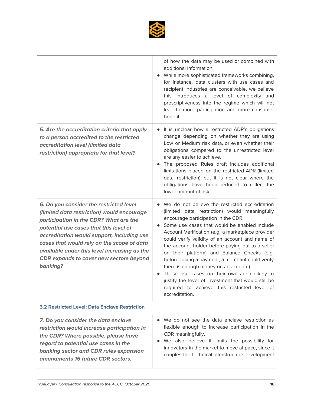

|                                                                                                                                                                                                                                                                                                                                                                                     | of how the data may be used or combined with<br>additional information.<br>While more sophisticated frameworks combining,<br>for instance, data clusters with use cases and<br>recipient industries are conceivable, we believe<br>this introduces a level of complexity and<br>prescriptiveness into the regime which will not<br>lead to more participation and more consumer<br>benefit                                                                                                                                                                                                                                                                              |  |
|-------------------------------------------------------------------------------------------------------------------------------------------------------------------------------------------------------------------------------------------------------------------------------------------------------------------------------------------------------------------------------------|-------------------------------------------------------------------------------------------------------------------------------------------------------------------------------------------------------------------------------------------------------------------------------------------------------------------------------------------------------------------------------------------------------------------------------------------------------------------------------------------------------------------------------------------------------------------------------------------------------------------------------------------------------------------------|--|
| 5. Are the accreditation criteria that apply<br>to a person accredited to the restricted<br>accreditation level (limited data<br>restriction) appropriate for that level?                                                                                                                                                                                                           | It is unclear how a restricted ADR's obligations<br>change depending on whether they are using<br>Low or Medium risk data, or even whether their<br>obligations compared to the unrestricted level<br>are any easier to achieve.<br>The proposed Rules draft includes additional<br>limitations placed on the restricted ADR (limited<br>data restriction) but it is not clear where the<br>obligations have been reduced to reflect the<br>lower amount of risk.                                                                                                                                                                                                       |  |
| 6. Do you consider the restricted level<br>(limited data restriction) would encourage<br>participation in the CDR? What are the<br>potential use cases that this level of<br>accreditation would support, including use<br>cases that would rely on the scope of data<br>available under this level increasing as the<br><b>CDR</b> expands to cover new sectors beyond<br>banking? | We do not believe the restricted accreditation<br>(limited data restriction) would meaningfully<br>encourage participation in the CDR.<br>Some use cases that would be enabled include<br>Account Verification (e.g. a marketplace provider<br>could verify validity of an account and name of<br>the account holder before paying out to a seller<br>on their platform) and Balance Checks (e.g.<br>before taking a payment, a merchant could verify<br>there is enough money on an account).<br>These use cases on their own are unlikely to<br>justify the level of investment that would still be<br>required to achieve this restricted level of<br>accreditation. |  |
| <b>3.2 Restricted Level: Data Enclave Restriction</b>                                                                                                                                                                                                                                                                                                                               |                                                                                                                                                                                                                                                                                                                                                                                                                                                                                                                                                                                                                                                                         |  |
| 7. Do you consider the data enclave<br>restriction would increase participation in<br>the CDR? Where possible, please have<br>regard to potential use cases in the<br>banking sector and CDR rules expansion<br>amendments 15 future CDR sectors.                                                                                                                                   | • We do not see the data enclave restriction as<br>flexible enough to increase participation in the<br>CDR meaningfully.<br>We also believe it limits the possibility for<br>innovators in the market to move at pace, since it<br>couples the technical infrastructure development                                                                                                                                                                                                                                                                                                                                                                                     |  |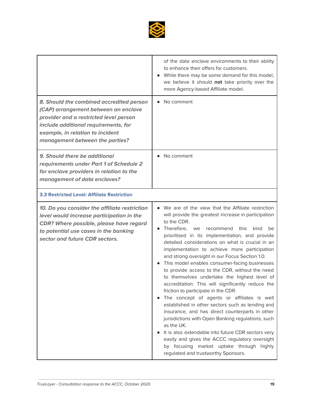

|                                                                                                                                                                                                                                           | of the data enclave environments to their ability<br>to enhance their offers for customers.<br>While there may be some demand for this model,<br>$\bullet$<br>we believe it should not take priority over the<br>more Agency-based Affiliate model.                                                                                                                                                                                                                                                                                                                                                                                                                                                                                                                                                                                                                                                                                                                                                                                                                              |  |
|-------------------------------------------------------------------------------------------------------------------------------------------------------------------------------------------------------------------------------------------|----------------------------------------------------------------------------------------------------------------------------------------------------------------------------------------------------------------------------------------------------------------------------------------------------------------------------------------------------------------------------------------------------------------------------------------------------------------------------------------------------------------------------------------------------------------------------------------------------------------------------------------------------------------------------------------------------------------------------------------------------------------------------------------------------------------------------------------------------------------------------------------------------------------------------------------------------------------------------------------------------------------------------------------------------------------------------------|--|
| 8. Should the combined accredited person<br>(CAP) arrangement between an enclave<br>provider and a restricted level person<br>include additional requirements, for<br>example, in relation to incident<br>management between the parties? | No comment                                                                                                                                                                                                                                                                                                                                                                                                                                                                                                                                                                                                                                                                                                                                                                                                                                                                                                                                                                                                                                                                       |  |
| 9. Should there be additional<br>requirements under Part 1 of Schedule 2<br>for enclave providers in relation to the<br>management of data enclaves?                                                                                      | No comment                                                                                                                                                                                                                                                                                                                                                                                                                                                                                                                                                                                                                                                                                                                                                                                                                                                                                                                                                                                                                                                                       |  |
| <b>3.3 Restricted Level: Affiliate Restriction</b>                                                                                                                                                                                        |                                                                                                                                                                                                                                                                                                                                                                                                                                                                                                                                                                                                                                                                                                                                                                                                                                                                                                                                                                                                                                                                                  |  |
| 10. Do you consider the affiliate restriction<br>level would increase participation in the<br><b>CDR? Where possible, please have regard</b><br>to potential use cases in the banking<br>sector and future CDR sectors.                   | We are of the view that the Affiliate restriction<br>$\bullet$<br>will provide the greatest increase in participation<br>to the CDR.<br>Therefore,<br>we recommend<br>this<br>kind<br>be<br>prioritised in its implementation, and provide<br>detailed considerations on what is crucial in an<br>implementation to achieve more participation<br>and strong oversight in our Focus Section 1.0.<br>This model enables consumer-facing businesses<br>to provide access to the CDR, without the need<br>to themselves undertake the highest level of<br>accreditation. This will significantly reduce the<br>friction to participate in the CDR.<br>The concept of agents or affiliates is well<br>$\bullet$<br>established in other sectors such as lending and<br>insurance, and has direct counterparts in other<br>jurisdictions with Open Banking regulations, such<br>as the UK.<br>It is also extendable into future CDR sectors very<br>easily and gives the ACCC regulatory oversight<br>by focusing market uptake through highly<br>regulated and trustworthy Sponsors. |  |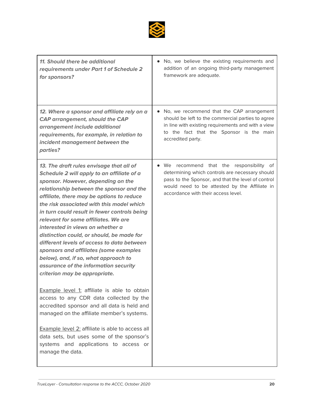

| 11. Should there be additional<br>requirements under Part 1 of Schedule 2<br>for sponsors?                                                                                                                                                                                                                                                                                                                                                                                                                                                                                                                                                                                                                                                              | No, we believe the existing requirements and<br>addition of an ongoing third-party management<br>framework are adequate.                                                                                                                    |
|---------------------------------------------------------------------------------------------------------------------------------------------------------------------------------------------------------------------------------------------------------------------------------------------------------------------------------------------------------------------------------------------------------------------------------------------------------------------------------------------------------------------------------------------------------------------------------------------------------------------------------------------------------------------------------------------------------------------------------------------------------|---------------------------------------------------------------------------------------------------------------------------------------------------------------------------------------------------------------------------------------------|
| 12. Where a sponsor and affiliate rely on a<br><b>CAP arrangement, should the CAP</b><br>arrangement include additional<br>requirements, for example, in relation to<br>incident management between the<br>parties?                                                                                                                                                                                                                                                                                                                                                                                                                                                                                                                                     | No, we recommend that the CAP arrangement<br>should be left to the commercial parties to agree<br>in line with existing requirements and with a view<br>to the fact that the Sponsor is the main<br>accredited party.                       |
| 13. The draft rules envisage that all of<br>Schedule 2 will apply to an affiliate of a<br>sponsor. However, depending on the<br>relationship between the sponsor and the<br>affiliate, there may be options to reduce<br>the risk associated with this model which<br>in turn could result in fewer controls being<br>relevant for some affiliates. We are<br>interested in views on whether a<br>distinction could, or should, be made for<br>different levels of access to data between<br>sponsors and affiliates (some examples<br>below), and, if so, what approach to<br>assurance of the information security<br>criterion may be appropriate.<br><b>Example level 1:</b> affiliate is able to obtain<br>access to any CDR data collected by the | recommend that the responsibility of<br>We<br>determining which controls are necessary should<br>pass to the Sponsor, and that the level of control<br>would need to be attested by the Affiliate in<br>accordance with their access level. |
| accredited sponsor and all data is held and<br>managed on the affiliate member's systems.<br><b>Example level 2: affiliate is able to access all</b><br>data sets, but uses some of the sponsor's<br>systems and applications to access or<br>manage the data.                                                                                                                                                                                                                                                                                                                                                                                                                                                                                          |                                                                                                                                                                                                                                             |
|                                                                                                                                                                                                                                                                                                                                                                                                                                                                                                                                                                                                                                                                                                                                                         |                                                                                                                                                                                                                                             |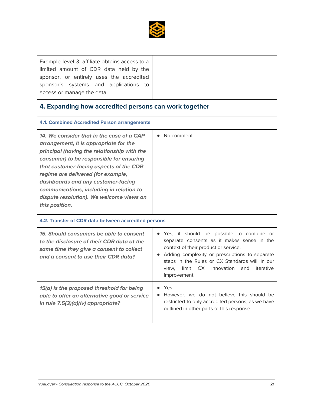

Example level 3: affiliate obtains access to a limited amount of CDR data held by the sponsor, or entirely uses the accredited sponsor's systems and applications to access or manage the data.

## **4. Expanding how accredited persons can work together**

#### **4.1. Combined Accredited Person arrangements**

**14. We consider that in the case of a CAP arrangement, it is appropriate for the principal (having the relationship with the consumer) to be responsible for ensuring that customer-facing aspects of the CDR regime are delivered (for example, dashboards and any customer-facing communications, including in relation to dispute resolution). We welcome views on this position.** ● No comment. **4.2. Transfer of CDR data between accredited persons**

| 15. Should consumers be able to consent<br>to the disclosure of their CDR data at the<br>same time they give a consent to collect<br>and a consent to use their CDR data? | · Yes, it should be possible to combine or<br>separate consents as it makes sense in the<br>context of their product or service.<br>• Adding complexity or prescriptions to separate<br>steps in the Rules or CX Standards will, in our<br>limit CX innovation<br>and<br>iterative<br>view.<br>improvement. |
|---------------------------------------------------------------------------------------------------------------------------------------------------------------------------|-------------------------------------------------------------------------------------------------------------------------------------------------------------------------------------------------------------------------------------------------------------------------------------------------------------|
| 15(a) Is the proposed threshold for being<br>able to offer an alternative good or service<br>in rule 7.5(3)(a)(iv) appropriate?                                           | $\bullet$ Yes<br>• However, we do not believe this should be<br>restricted to only accredited persons, as we have<br>outlined in other parts of this response.                                                                                                                                              |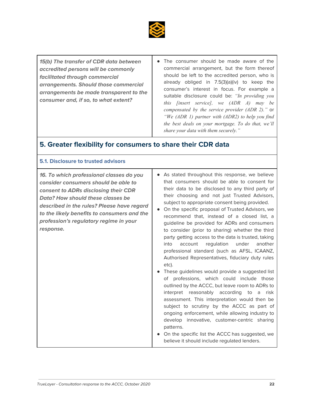

**15(b) The transfer of CDR data between accredited persons will be commonly facilitated through commercial arrangements. Should those commercial arrangements be made transparent to the consumer and, if so, to what extent?**

• The consumer should be made aware of the commercial arrangement, but the form thereof should be left to the accredited person, who is already obliged in 7.5(3)(a)(iv) to keep the consumer's interest in focus. For example a suitable disclosure could be: *"In providing you this [insert service], we (ADR A) may be compensated by the service provider (ADR 2)."* or *"We (ADR 1) partner with (ADR2) to help you find the best deals on your mortgage. To do that, we'll share your data with them securely."*

# **5. Greater flexibility for consumers to share their CDR data**

#### **5.1. Disclosure to trusted advisors**

**16. To which professional classes do you consider consumers should be able to consent to ADRs disclosing their CDR Data? How should these classes be described in the rules? Please have regard to the likely benefits to consumers and the profession's regulatory regime in your response.**

- As stated throughout this response, we believe that consumers should be able to consent for their data to be disclosed to any third party of their choosing and not just Trusted Advisors, subject to appropriate consent being provided.
- On the specific proposal of Trusted Advisors, we recommend that, instead of a closed list, a guideline be provided for ADRs and consumers to consider (prior to sharing) whether the third party getting access to the data is trusted, taking into account regulation under another professional standard (such as AFSL, ICAANZ, Authorised Representatives, fiduciary duty rules etc).
- These quidelines would provide a suggested list of professions, which could include those outlined by the ACCC, but leave room to ADRs to interpret reasonably according to a risk assessment. This interpretation would then be subject to scrutiny by the ACCC as part of ongoing enforcement, while allowing industry to develop innovative, customer-centric sharing patterns.
- On the specific list the ACCC has suggested, we believe it should include regulated lenders.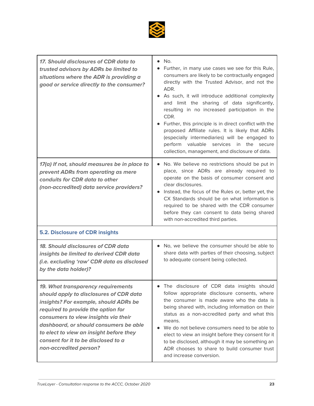

| 17. Should disclosures of CDR data to<br>trusted advisors by ADRs be limited to<br>situations where the ADR is providing a<br>good or service directly to the consumer?                                                                                                                                                                                    | No.<br>$\bullet$<br>Further, in many use cases we see for this Rule,<br>consumers are likely to be contractually engaged<br>directly with the Trusted Advisor, and not the<br>ADR.<br>As such, it will introduce additional complexity<br>and limit the sharing of data significantly,<br>resulting in no increased participation in the<br>CDR.<br>Further, this principle is in direct conflict with the<br>proposed Affiliate rules. It is likely that ADRs<br>(especially intermediaries) will be engaged to<br>perform valuable services in the secure<br>collection, management, and disclosure of data. |  |
|------------------------------------------------------------------------------------------------------------------------------------------------------------------------------------------------------------------------------------------------------------------------------------------------------------------------------------------------------------|----------------------------------------------------------------------------------------------------------------------------------------------------------------------------------------------------------------------------------------------------------------------------------------------------------------------------------------------------------------------------------------------------------------------------------------------------------------------------------------------------------------------------------------------------------------------------------------------------------------|--|
| 17(a) If not, should measures be in place to<br>prevent ADRs from operating as mere<br>conduits for CDR data to other<br>(non-accredited) data service providers?                                                                                                                                                                                          | No. We believe no restrictions should be put in<br>$\bullet$<br>place, since ADRs are already required to<br>operate on the basis of consumer consent and<br>clear disclosures.<br>Instead, the focus of the Rules or, better yet, the<br>CX Standards should be on what information is<br>required to be shared with the CDR consumer<br>before they can consent to data being shared<br>with non-accredited third parties.                                                                                                                                                                                   |  |
| 5.2. Disclosure of CDR insights                                                                                                                                                                                                                                                                                                                            |                                                                                                                                                                                                                                                                                                                                                                                                                                                                                                                                                                                                                |  |
| 18. Should disclosures of CDR data<br>insights be limited to derived CDR data<br>(i.e. excluding 'raw' CDR data as disclosed<br>by the data holder)?                                                                                                                                                                                                       | No, we believe the consumer should be able to<br>share data with parties of their choosing, subject<br>to adequate consent being collected.                                                                                                                                                                                                                                                                                                                                                                                                                                                                    |  |
| 19. What transparency requirements<br>should apply to disclosures of CDR data<br>insights? For example, should ADRs be<br>required to provide the option for<br>consumers to view insights via their<br>dashboard, or should consumers be able<br>to elect to view an insight before they<br>consent for it to be disclosed to a<br>non-accredited person? | The disclosure of CDR data insights should<br>follow appropriate disclosure consents, where<br>the consumer is made aware who the data is<br>being shared with, including information on their<br>status as a non-accredited party and what this<br>means.<br>We do not believe consumers need to be able to<br>$\bullet$<br>elect to view an insight before they consent for it<br>to be disclosed, although it may be something an<br>ADR chooses to share to build consumer trust<br>and increase conversion.                                                                                               |  |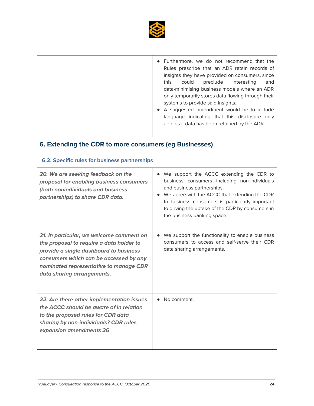

|                                                                                                                                                                                                                                                  | • Furthermore, we do not recommend that the<br>Rules prescribe that an ADR retain records of<br>insights they have provided on consumers, since<br>this<br>could<br>preclude<br>interesting<br>and<br>data-minimising business models where an ADR<br>only temporarily stores data flowing through their<br>systems to provide said insights.<br>• A suggested amendment would be to include<br>language indicating that this disclosure only<br>applies if data has been retained by the ADR. |  |
|--------------------------------------------------------------------------------------------------------------------------------------------------------------------------------------------------------------------------------------------------|------------------------------------------------------------------------------------------------------------------------------------------------------------------------------------------------------------------------------------------------------------------------------------------------------------------------------------------------------------------------------------------------------------------------------------------------------------------------------------------------|--|
| 6. Extending the CDR to more consumers (eg Businesses)                                                                                                                                                                                           |                                                                                                                                                                                                                                                                                                                                                                                                                                                                                                |  |
| 6.2. Specific rules for business partnerships                                                                                                                                                                                                    |                                                                                                                                                                                                                                                                                                                                                                                                                                                                                                |  |
| 20. We are seeking feedback on the<br>proposal for enabling business consumers<br>(both nonindividuals and business<br>partnerships) to share CDR data.                                                                                          | We support the ACCC extending the CDR to<br>business consumers including non-individuals<br>and business partnerships.<br>We agree with the ACCC that extending the CDR<br>to business consumers is particularly important<br>to driving the uptake of the CDR by consumers in<br>the business banking space.                                                                                                                                                                                  |  |
| 21. In particular, we welcome comment on<br>the proposal to require a data holder to<br>provide a single dashboard to business<br>consumers which can be accessed by any<br>nominated representative to manage CDR<br>data sharing arrangements. | We support the functionality to enable business<br>consumers to access and self-serve their CDR<br>data sharing arrangements.                                                                                                                                                                                                                                                                                                                                                                  |  |
| 22. Are there other implementation issues<br>the ACCC should be aware of in relation<br>to the proposed rules for CDR data<br>sharing by non-individuals? CDR rules<br>expansion amendments 36                                                   | No comment.                                                                                                                                                                                                                                                                                                                                                                                                                                                                                    |  |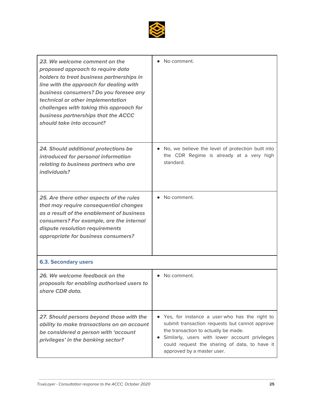

| 23. We welcome comment on the<br>proposed approach to require data<br>holders to treat business partnerships in<br>line with the approach for dealing with<br>business consumers? Do you foresee any<br>technical or other implementation<br>challenges with taking this approach for<br>business partnerships that the ACCC<br>should take into account? | No comment.                                                                                                                                                                                                                                                                           |  |
|-----------------------------------------------------------------------------------------------------------------------------------------------------------------------------------------------------------------------------------------------------------------------------------------------------------------------------------------------------------|---------------------------------------------------------------------------------------------------------------------------------------------------------------------------------------------------------------------------------------------------------------------------------------|--|
| 24. Should additional protections be<br>introduced for personal information<br>relating to business partners who are<br>individuals?                                                                                                                                                                                                                      | No, we believe the level of protection built into<br>the CDR Regime is already at a very high<br>standard.                                                                                                                                                                            |  |
| 25. Are there other aspects of the rules<br>that may require consequential changes<br>as a result of the enablement of business<br>consumers? For example, are the internal<br>dispute resolution requirements<br>appropriate for business consumers?                                                                                                     | No comment.<br>$\bullet$                                                                                                                                                                                                                                                              |  |
| <b>6.3. Secondary users</b>                                                                                                                                                                                                                                                                                                                               |                                                                                                                                                                                                                                                                                       |  |
| 26. We welcome feedback on the<br>proposals for enabling authorised users to<br>share CDR data.                                                                                                                                                                                                                                                           | No comment.<br>$\bullet$                                                                                                                                                                                                                                                              |  |
| 27. Should persons beyond those with the<br>ability to make transactions on an account<br>be considered a person with 'account<br>privileges' in the banking sector?                                                                                                                                                                                      | Yes, for instance a user who has the right to<br>$\bullet$<br>submit transaction requests but cannot approve<br>the transaction to actually be made.<br>Similarly, users with lower account privileges<br>could request the sharing of data, to have it<br>approved by a master user. |  |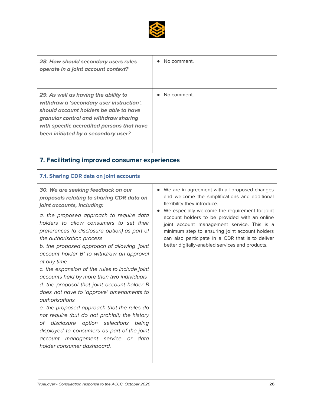

| 28. How should secondary users rules<br>operate in a joint account context?                                                                                                                                                                                                                                                                                                                                                                                                                                                                                                                                                                                                                                                                                                                                                                                             | No comment.                                                                                                                                                                                                                                                                                                                                                                                                                                |
|-------------------------------------------------------------------------------------------------------------------------------------------------------------------------------------------------------------------------------------------------------------------------------------------------------------------------------------------------------------------------------------------------------------------------------------------------------------------------------------------------------------------------------------------------------------------------------------------------------------------------------------------------------------------------------------------------------------------------------------------------------------------------------------------------------------------------------------------------------------------------|--------------------------------------------------------------------------------------------------------------------------------------------------------------------------------------------------------------------------------------------------------------------------------------------------------------------------------------------------------------------------------------------------------------------------------------------|
| 29. As well as having the ability to<br>withdraw a 'secondary user instruction',<br>should account holders be able to have<br>granular control and withdraw sharing<br>with specific accredited persons that have<br>been initiated by a secondary user?                                                                                                                                                                                                                                                                                                                                                                                                                                                                                                                                                                                                                | No comment.                                                                                                                                                                                                                                                                                                                                                                                                                                |
| 7. Facilitating improved consumer experiences                                                                                                                                                                                                                                                                                                                                                                                                                                                                                                                                                                                                                                                                                                                                                                                                                           |                                                                                                                                                                                                                                                                                                                                                                                                                                            |
| 7.1. Sharing CDR data on joint accounts                                                                                                                                                                                                                                                                                                                                                                                                                                                                                                                                                                                                                                                                                                                                                                                                                                 |                                                                                                                                                                                                                                                                                                                                                                                                                                            |
| 30. We are seeking feedback on our<br>proposals relating to sharing CDR data on<br>joint accounts, including:<br>a. the proposed approach to require data<br>holders to allow consumers to set their<br>preferences (a disclosure option) as part of<br>the authorisation process<br>b. the proposed approach of allowing 'joint<br>account holder B' to withdraw an approval<br>at any time<br>c. the expansion of the rules to include joint<br>accounts held by more than two individuals<br>d. the proposal that joint account holder B<br>does not have to 'approve' amendments to<br>authorisations<br>e. the proposed approach that the rules do<br>not require (but do not prohibit) the history<br>of disclosure option selections<br>being<br>displayed to consumers as part of the joint<br>account management service or data<br>holder consumer dashboard. | We are in agreement with all proposed changes<br>and welcome the simplifications and additional<br>flexibility they introduce.<br>We especially welcome the requirement for joint<br>account holders to be provided with an online<br>joint account management service. This is a<br>minimum step to ensuring joint account holders<br>can also participate in a CDR that is to deliver<br>better digitally-enabled services and products. |

I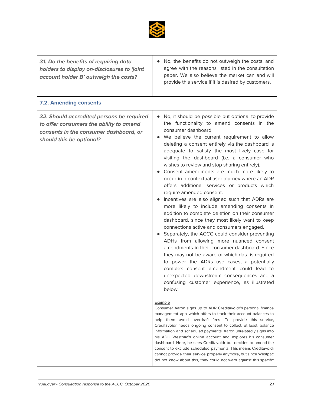

| 31. Do the benefits of requiring data<br>holders to display on-disclosures to 'joint<br>account holder B' outweigh the costs?                              | No, the benefits do not outweigh the costs, and<br>agree with the reasons listed in the consultation<br>paper. We also believe the market can and will<br>provide this service if it is desired by customers.                                                                                                                                                                                                                                                                                                                                                                                                                                                                                                                                                                                                                                                                                                                                                                                                                                                                                                                                                                                                                                                                                                                                                                                                                                                                                                                                                                                                                                                                                                                                                                                                                                                                                                     |
|------------------------------------------------------------------------------------------------------------------------------------------------------------|-------------------------------------------------------------------------------------------------------------------------------------------------------------------------------------------------------------------------------------------------------------------------------------------------------------------------------------------------------------------------------------------------------------------------------------------------------------------------------------------------------------------------------------------------------------------------------------------------------------------------------------------------------------------------------------------------------------------------------------------------------------------------------------------------------------------------------------------------------------------------------------------------------------------------------------------------------------------------------------------------------------------------------------------------------------------------------------------------------------------------------------------------------------------------------------------------------------------------------------------------------------------------------------------------------------------------------------------------------------------------------------------------------------------------------------------------------------------------------------------------------------------------------------------------------------------------------------------------------------------------------------------------------------------------------------------------------------------------------------------------------------------------------------------------------------------------------------------------------------------------------------------------------------------|
| <b>7.2. Amending consents</b>                                                                                                                              |                                                                                                                                                                                                                                                                                                                                                                                                                                                                                                                                                                                                                                                                                                                                                                                                                                                                                                                                                                                                                                                                                                                                                                                                                                                                                                                                                                                                                                                                                                                                                                                                                                                                                                                                                                                                                                                                                                                   |
| 32. Should accredited persons be required<br>to offer consumers the ability to amend<br>consents in the consumer dashboard, or<br>should this be optional? | No, it should be possible but optional to provide<br>$\bullet$<br>the functionality to amend consents in the<br>consumer dashboard.<br>We believe the current requirement to allow<br>deleting a consent entirely via the dashboard is<br>adequate to satisfy the most likely case for<br>visiting the dashboard (i.e. a consumer who<br>wishes to review and stop sharing entirely).<br>Consent amendments are much more likely to<br>occur in a contextual user journey where an ADR<br>offers additional services or products which<br>require amended consent.<br>Incentives are also aligned such that ADRs are<br>more likely to include amending consents in<br>addition to complete deletion on their consumer<br>dashboard, since they most likely want to keep<br>connections active and consumers engaged.<br>Separately, the ACCC could consider preventing<br>ADHs from allowing more nuanced consent<br>amendments in their consumer dashboard. Since<br>they may not be aware of which data is required<br>to power the ADRs use cases, a potentially<br>complex consent amendment could lead to<br>unexpected downstream consequences and a<br>confusing customer experience, as illustrated<br>below.<br>Example<br>Consumer Aaron signs up to ADR Creditavoidr's personal finance<br>management app which offers to track their account balances to<br>help them avoid overdraft fees To provide this service,<br>Creditavoidr needs ongoing consent to collect, at least, balance<br>information and scheduled payments Aaron unrelatedly signs into<br>his ADH Westpac's online account and explores his consumer<br>dashboard Here, he sees Creditavoidr but decides to amend the<br>consent to exclude scheduled payments This means Creditavoidr<br>cannot provide their service properly anymore, but since Westpac<br>did not know about this, they could not warn against this specific |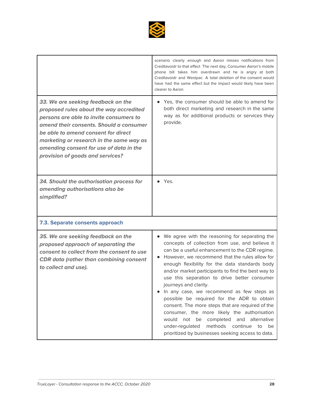

|                                                                                                                                                                                                                                                                                                                                       | scenario clearly enough and Aaron misses notifications from<br>Creditavoidr to that effect The next day, Consumer Aaron's mobile<br>phone bill takes him overdrawn and he is angry at both<br>Creditavoidr and Westpac A total deletion of the consent would<br>have had the same effect but the impact would likely have been<br>clearer to Aaron                                                                                                                                                                                                                                                                                                                                                                                                                  |  |  |
|---------------------------------------------------------------------------------------------------------------------------------------------------------------------------------------------------------------------------------------------------------------------------------------------------------------------------------------|---------------------------------------------------------------------------------------------------------------------------------------------------------------------------------------------------------------------------------------------------------------------------------------------------------------------------------------------------------------------------------------------------------------------------------------------------------------------------------------------------------------------------------------------------------------------------------------------------------------------------------------------------------------------------------------------------------------------------------------------------------------------|--|--|
| 33. We are seeking feedback on the<br>proposed rules about the way accredited<br>persons are able to invite consumers to<br>amend their consents. Should a consumer<br>be able to amend consent for direct<br>marketing or research in the same way as<br>amending consent for use of data in the<br>provision of goods and services? | Yes, the consumer should be able to amend for<br>$\bullet$<br>both direct marketing and research in the same<br>way as for additional products or services they<br>provide.                                                                                                                                                                                                                                                                                                                                                                                                                                                                                                                                                                                         |  |  |
| 34. Should the authorisation process for<br>amending authorisations also be<br>simplified?                                                                                                                                                                                                                                            | Yes.                                                                                                                                                                                                                                                                                                                                                                                                                                                                                                                                                                                                                                                                                                                                                                |  |  |
| 7.3. Separate consents approach                                                                                                                                                                                                                                                                                                       |                                                                                                                                                                                                                                                                                                                                                                                                                                                                                                                                                                                                                                                                                                                                                                     |  |  |
| 35. We are seeking feedback on the<br>proposed approach of separating the<br>consent to collect from the consent to use<br><b>CDR</b> data (rather than combining consent<br>to collect and use).                                                                                                                                     | We agree with the reasoning for separating the<br>$\bullet$<br>concepts of collection from use, and believe it<br>can be a useful enhancement to the CDR regime.<br>However, we recommend that the rules allow for<br>$\bullet$<br>enough flexibility for the data standards body<br>and/or market participants to find the best way to<br>use this separation to drive better consumer<br>journeys and clarity.<br>In any case, we recommend as few steps as<br>possible be required for the ADR to obtain<br>consent. The more steps that are required of the<br>consumer, the more likely the authorisation<br>would not be completed and alternative<br>under-regulated<br>methods<br>continue<br>be<br>to<br>prioritized by businesses seeking access to data. |  |  |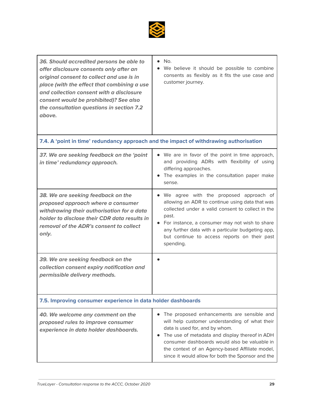

| 36. Should accredited persons be able to<br>offer disclosure consents only after an<br>original consent to collect and use is in<br>place (with the effect that combining a use<br>and collection consent with a disclosure<br>consent would be prohibited)? See also<br>the consultation questions in section 7.2 | $\bullet$ No.<br>• We believe it sh<br>consents as flexi<br>customer journey |
|--------------------------------------------------------------------------------------------------------------------------------------------------------------------------------------------------------------------------------------------------------------------------------------------------------------------|------------------------------------------------------------------------------|
| above.                                                                                                                                                                                                                                                                                                             |                                                                              |
|                                                                                                                                                                                                                                                                                                                    |                                                                              |

hould be possible to combine ibly as it fits the use case and customer journey.

# **7.4. A 'point in time' redundancy approach and the impact of withdrawing authorisation**

| 37. We are seeking feedback on the 'point<br>in time' redundancy approach.                                                                                                                                                 | • We are in favor of the point in time approach,<br>and providing ADRs with flexibility of using<br>differing approaches.<br>The examples in the consultation paper make<br>sense.                                                                                                                                                        |  |
|----------------------------------------------------------------------------------------------------------------------------------------------------------------------------------------------------------------------------|-------------------------------------------------------------------------------------------------------------------------------------------------------------------------------------------------------------------------------------------------------------------------------------------------------------------------------------------|--|
| 38. We are seeking feedback on the<br>proposed approach where a consumer<br>withdrawing their authorisation for a data<br>holder to disclose their CDR data results in<br>removal of the ADR's consent to collect<br>only. | We agree with the proposed approach of<br>allowing an ADR to continue using data that was<br>collected under a valid consent to collect in the<br>past.<br>For instance, a consumer may not wish to share<br>any further data with a particular budgeting app,<br>but continue to access reports on their past<br>spending.               |  |
| 39. We are seeking feedback on the<br>collection consent expiry notification and<br>permissible delivery methods.                                                                                                          |                                                                                                                                                                                                                                                                                                                                           |  |
| 7.5. Improving consumer experience in data holder dashboards                                                                                                                                                               |                                                                                                                                                                                                                                                                                                                                           |  |
| 40. We welcome any comment on the<br>proposed rules to improve consumer<br>experience in data holder dashboards.                                                                                                           | The proposed enhancements are sensible and<br>will help customer understanding of what their<br>data is used for, and by whom.<br>The use of metadata and display thereof in ADH<br>consumer dashboards would also be valuable in<br>the context of an Agency-based Affiliate model,<br>since it would allow for both the Sponsor and the |  |